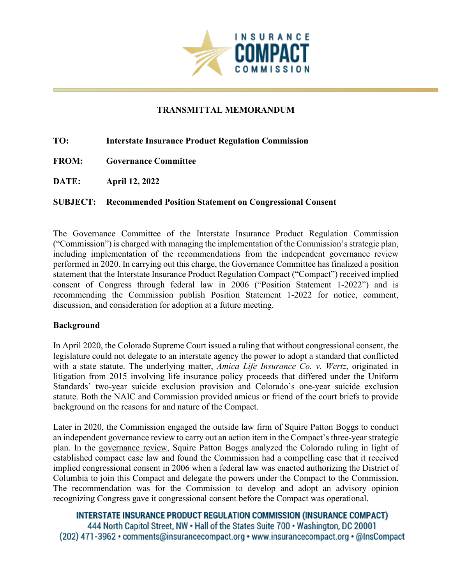

## **TRANSMITTAL MEMORANDUM**

| TO:          | <b>Interstate Insurance Product Regulation Commission</b>               |
|--------------|-------------------------------------------------------------------------|
| <b>FROM:</b> | <b>Governance Committee</b>                                             |
| <b>DATE:</b> | <b>April 12, 2022</b>                                                   |
|              | <b>SUBJECT:</b> Recommended Position Statement on Congressional Consent |

The Governance Committee of the Interstate Insurance Product Regulation Commission ("Commission") is charged with managing the implementation of the Commission's strategic plan, including implementation of the recommendations from the independent governance review performed in 2020. In carrying out this charge, the Governance Committee has finalized a position statement that the Interstate Insurance Product Regulation Compact ("Compact") received implied consent of Congress through federal law in 2006 ("Position Statement 1-2022") and is recommending the Commission publish Position Statement 1-2022 for notice, comment, discussion, and consideration for adoption at a future meeting.

## **Background**

In April 2020, the Colorado Supreme Court issued a ruling that without congressional consent, the legislature could not delegate to an interstate agency the power to adopt a standard that conflicted with a state statute. The underlying matter, *Amica Life Insurance Co. v. Wertz*, originated in litigation from 2015 involving life insurance policy proceeds that differed under the Uniform Standards' two-year suicide exclusion provision and Colorado's one-year suicide exclusion statute. Both the NAIC and Commission provided amicus or friend of the court briefs to provide background on the reasons for and nature of the Compact.

Later in 2020, the Commission engaged the outside law firm of Squire Patton Boggs to conduct an independent governance review to carry out an action item in the Compact's three-year strategic plan. In the [governance](https://www.insurancecompact.org/strategic-plan) review, Squire Patton Boggs analyzed the Colorado ruling in light of established compact case law and found the Commission had a compelling case that it received implied congressional consent in 2006 when a federal law was enacted authorizing the District of Columbia to join this Compact and delegate the powers under the Compact to the Commission. The recommendation was for the Commission to develop and adopt an advisory opinion recognizing Congress gave it congressional consent before the Compact was operational.

**INTERSTATE INSURANCE PRODUCT REGULATION COMMISSION (INSURANCE COMPACT)** 444 North Capitol Street, NW . Hall of the States Suite 700 . Washington, DC 20001 (202) 471-3962 • comments@insurancecompact.org • www.insurancecompact.org • @InsCompact